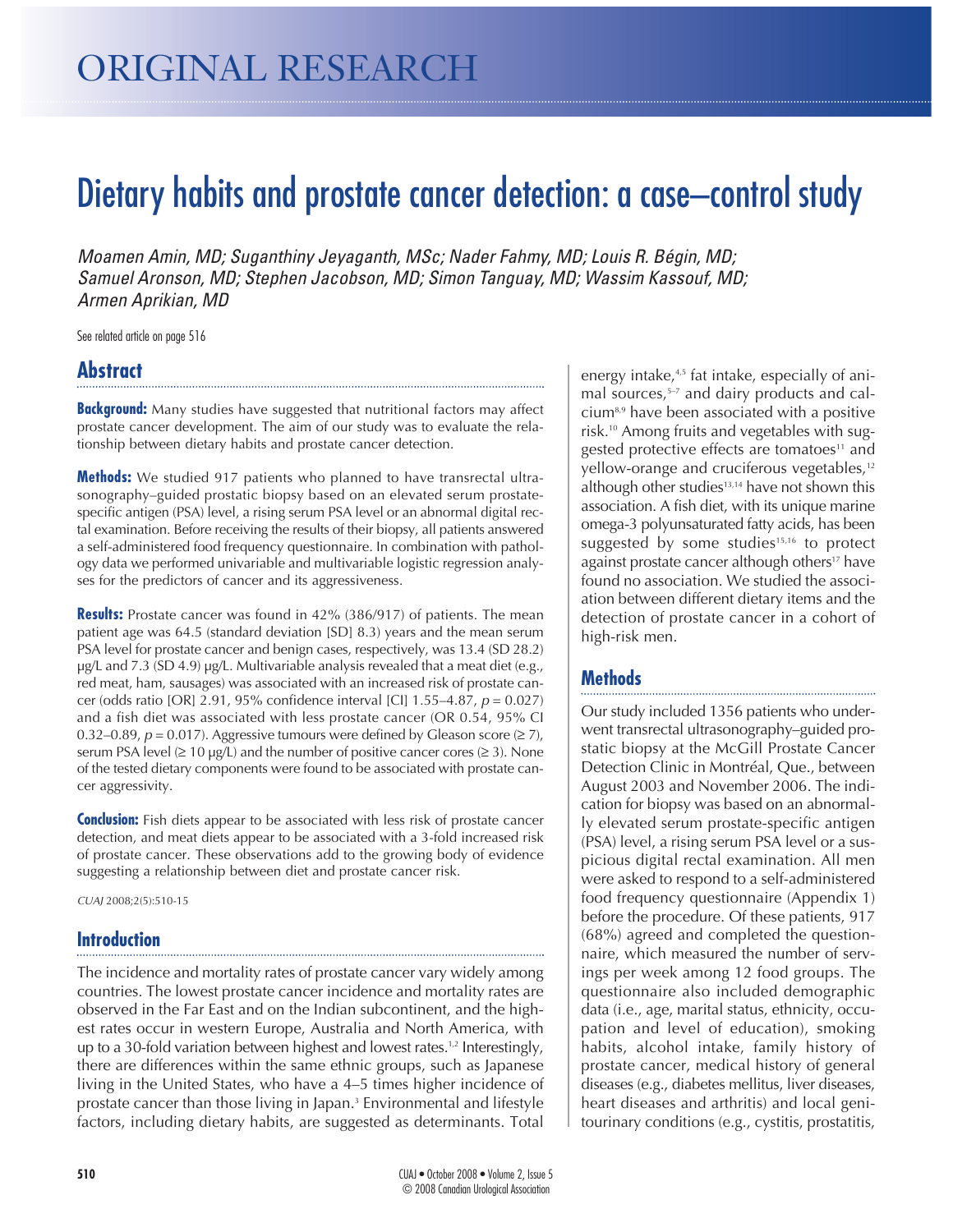# Dietary habits and prostate cancer detection: a case–control study

Moamen Amin, MD; Suganthiny Jeyaganth, MSc; Nader Fahmy, MD; Louis R. Bégin, MD; Samuel Aronson, MD; Stephen Jacobson, MD; Simon Tanguay, MD; Wassim Kassouf, MD; Armen Aprikian, MD

See related article on page 516

# **Abstract**

**Background:** Many studies have suggested that nutritional factors may affect prostate cancer development. The aim of our study was to evaluate the relationship between dietary habits and prostate cancer detection.

**Methods:** We studied 917 patients who planned to have transrectal ultrasonography–guided prostatic biopsy based on an elevated serum prostatespecific antigen (PSA) level, a rising serum PSA level or an abnormal digital rectal examination. Before receiving the results of their biopsy, all patients answered a self-administered food frequency questionnaire. In combination with pathology data we performed univariable and multivariable logistic regression analyses for the predictors of cancer and its aggressiveness.

**Results:** Prostate cancer was found in 42% (386/917) of patients. The mean patient age was 64.5 (standard deviation [SD] 8.3) years and the mean serum PSA level for prostate cancer and benign cases, respectively, was 13.4 (SD 28.2) µg/L and 7.3 (SD 4.9) µg/L. Multivariable analysis revealed that a meat diet (e.g., red meat, ham, sausages) was associated with an increased risk of prostate cancer (odds ratio [OR] 2.91, 95% confidence interval [CI] 1.55–4.87,  $p = 0.027$ ) and a fish diet was associated with less prostate cancer (OR 0.54, 95% CI 0.32–0.89,  $p = 0.017$ ). Aggressive tumours were defined by Gleason score ( $\geq 7$ ), serum PSA level  $(≥ 10 \mu g/L)$  and the number of positive cancer cores  $(≥ 3)$ . None of the tested dietary components were found to be associated with prostate cancer aggressivity.

**Conclusion:** Fish diets appear to be associated with less risk of prostate cancer detection, and meat diets appear to be associated with a 3-fold increased risk of prostate cancer. These observations add to the growing body of evidence suggesting a relationship between diet and prostate cancer risk.

CUAJ 2008;2(5):510-15

#### **Introduction**

The incidence and mortality rates of prostate cancer vary widely among countries. The lowest prostate cancer incidence and mortality rates are observed in the Far East and on the Indian subcontinent, and the highest rates occur in western Europe, Australia and North America, with up to a 30-fold variation between highest and lowest rates.<sup>1,2</sup> Interestingly, there are differences within the same ethnic groups, such as Japanese living in the United States, who have a 4–5 times higher incidence of prostate cancer than those living in Japan.<sup>3</sup> Environmental and lifestyle factors, including dietary habits, are suggested as determinants. Total energy intake, $4,5$  fat intake, especially of animal sources,<sup>5-7</sup> and dairy products and calcium8,9 have been associated with a positive risk.10 Among fruits and vegetables with suggested protective effects are tomatoes<sup>11</sup> and yellow-orange and cruciferous vegetables,<sup>12</sup> although other studies<sup>13,14</sup> have not shown this association. A fish diet, with its unique marine omega-3 polyunsaturated fatty acids, has been suggested by some studies $15,16$  to protect against prostate cancer although others<sup>17</sup> have found no association. We studied the association between different dietary items and the detection of prostate cancer in a cohort of high-risk men.

## **Methods**

Our study included 1356 patients who underwent transrectal ultrasonography–guided prostatic biopsy at the McGill Prostate Cancer Detection Clinic in Montréal, Que., between August 2003 and November 2006. The indication for biopsy was based on an abnormally elevated serum prostate-specific antigen (PSA) level, a rising serum PSA level or a suspicious digital rectal examination. All men were asked to respond to a self-administered food frequency questionnaire (Appendix 1) before the procedure. Of these patients, 917 (68%) agreed and completed the questionnaire, which measured the number of servings per week among 12 food groups. The questionnaire also included demographic data (i.e., age, marital status, ethnicity, occupation and level of education), smoking habits, alcohol intake, family history of prostate cancer, medical history of general diseases (e.g., diabetes mellitus, liver diseases, heart diseases and arthritis) and local genitourinary conditions (e.g., cystitis, prostatitis,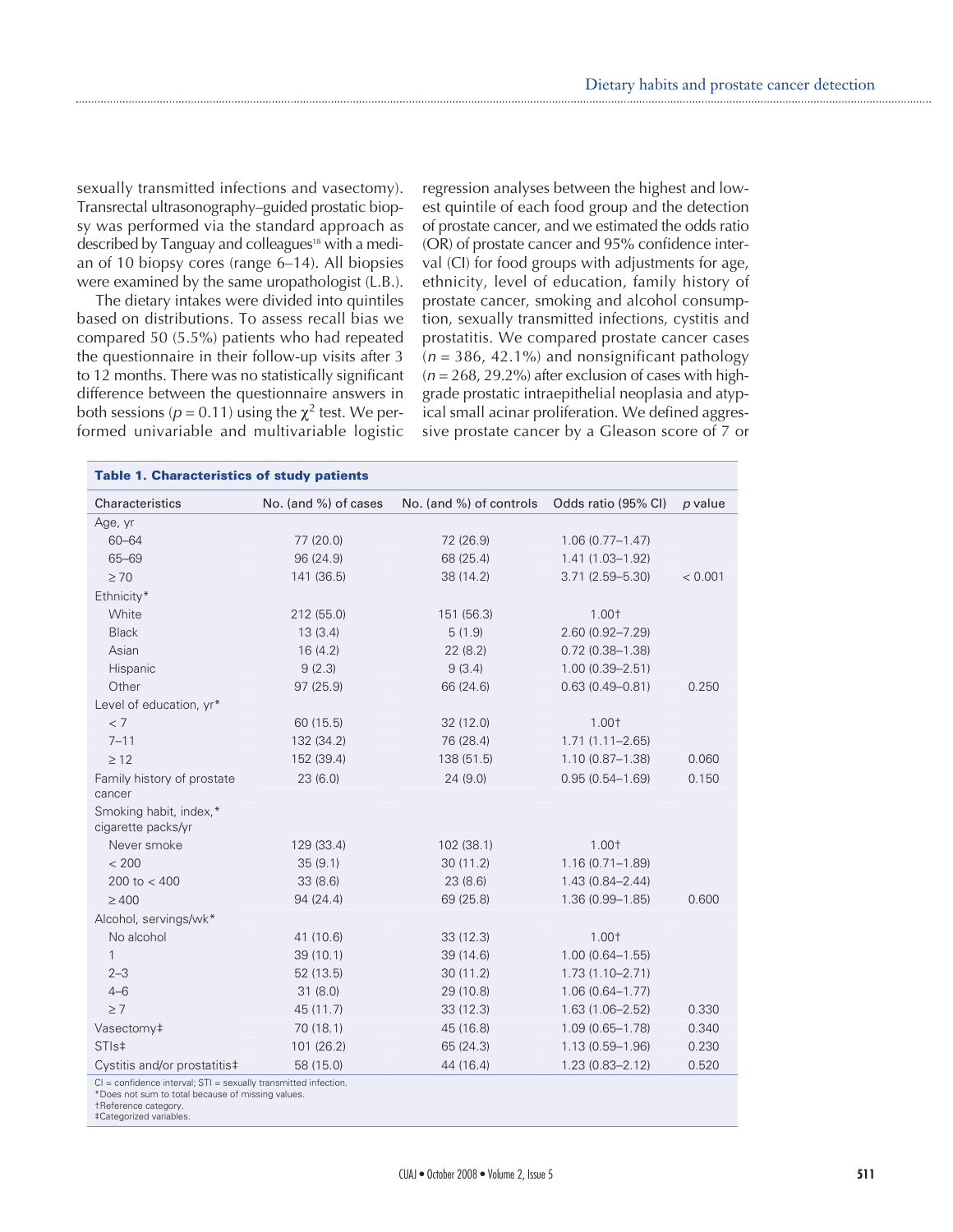sexually transmitted infections and vasectomy). Transrectal ultrasonography–guided prostatic biopsy was performed via the standard approach as described by Tanguay and colleagues<sup>18</sup> with a median of 10 biopsy cores (range 6–14). All biopsies were examined by the same uropathologist (L.B.).

The dietary intakes were divided into quintiles based on distributions. To assess recall bias we compared 50 (5.5%) patients who had repeated the questionnaire in their follow-up visits after 3 to 12 months. There was no statistically significant difference between the questionnaire answers in both sessions ( $p = 0.11$ ) using the  $\chi^2$  test. We performed univariable and multivariable logistic

regression analyses between the highest and lowest quintile of each food group and the detection of prostate cancer, and we estimated the odds ratio (OR) of prostate cancer and 95% confidence interval (CI) for food groups with adjustments for age, ethnicity, level of education, family history of prostate cancer, smoking and alcohol consumption, sexually transmitted infections, cystitis and prostatitis. We compared prostate cancer cases  $(n = 386, 42.1\%)$  and nonsignificant pathology  $(n = 268, 29.2\%)$  after exclusion of cases with highgrade prostatic intraepithelial neoplasia and atypical small acinar proliferation. We defined aggressive prostate cancer by a Gleason score of 7 or

| Characteristics                              | No. (and %) of cases | No. (and %) of controls | Odds ratio (95% CI) | p value |
|----------------------------------------------|----------------------|-------------------------|---------------------|---------|
| Age, yr                                      |                      |                         |                     |         |
| $60 - 64$                                    | 77 (20.0)            | 72 (26.9)               | $1.06(0.77 - 1.47)$ |         |
| 65-69                                        | 96 (24.9)            | 68 (25.4)               | $1.41(1.03 - 1.92)$ |         |
| $\geq 70$                                    | 141 (36.5)           | 38 (14.2)               | $3.71(2.59 - 5.30)$ | < 0.001 |
| Ethnicity*                                   |                      |                         |                     |         |
| White                                        | 212 (55.0)           | 151 (56.3)              | 1.00†               |         |
| <b>Black</b>                                 | 13(3.4)              | 5(1.9)                  | $2.60(0.92 - 7.29)$ |         |
| Asian                                        | 16(4.2)              | 22(8.2)                 | $0.72$ (0.38-1.38)  |         |
| Hispanic                                     | 9(2.3)               | 9(3.4)                  | $1.00(0.39 - 2.51)$ |         |
| Other                                        | 97 (25.9)            | 66 (24.6)               | $0.63(0.49 - 0.81)$ | 0.250   |
| Level of education, yr*                      |                      |                         |                     |         |
| < 7                                          | 60 (15.5)            | 32(12.0)                | 1.00†               |         |
| $7 - 11$                                     | 132 (34.2)           | 76 (28.4)               | $1.71(1.11 - 2.65)$ |         |
| $\geq 12$                                    | 152 (39.4)           | 138 (51.5)              | $1.10(0.87 - 1.38)$ | 0.060   |
| Family history of prostate<br>cancer         | 23(6.0)              | 24(9.0)                 | $0.95(0.54 - 1.69)$ | 0.150   |
| Smoking habit, index,*<br>cigarette packs/yr |                      |                         |                     |         |
| Never smoke                                  | 129 (33.4)           | 102 (38.1)              | 1.00†               |         |
| < 200                                        | 35(9.1)              | 30(11.2)                | $1.16(0.71 - 1.89)$ |         |
| 200 to $<$ 400                               | 33(8.6)              | 23(8.6)                 | $1.43(0.84 - 2.44)$ |         |
| $\geq 400$                                   | 94(24.4)             | 69 (25.8)               | $1.36(0.99 - 1.85)$ | 0.600   |
| Alcohol, servings/wk*                        |                      |                         |                     |         |
| No alcohol                                   | 41 (10.6)            | 33(12.3)                | 1.00†               |         |
| $\mathbf{1}$                                 | 39(10.1)             | 39 (14.6)               | $1.00(0.64 - 1.55)$ |         |
| $2 - 3$                                      | 52 (13.5)            | 30(11.2)                | $1.73(1.10 - 2.71)$ |         |
| $4 - 6$                                      | 31(8.0)              | 29 (10.8)               | $1.06(0.64 - 1.77)$ |         |
| $\geq 7$                                     | 45 (11.7)            | 33(12.3)                | $1.63(1.06 - 2.52)$ | 0.330   |
| Vasectomy‡                                   | 70(18.1)             | 45 (16.8)               | $1.09(0.65 - 1.78)$ | 0.340   |
| STI <sub>s</sub> <sup>‡</sup>                | 101 (26.2)           | 65 (24.3)               | $1.13(0.59 - 1.96)$ | 0.230   |
| Cystitis and/or prostatitis‡                 | 58 (15.0)            | 44 (16.4)               | $1.23(0.83 - 2.12)$ | 0.520   |

\*Does not sum to total because of missing values.

†Reference category.

‡Categorized variables.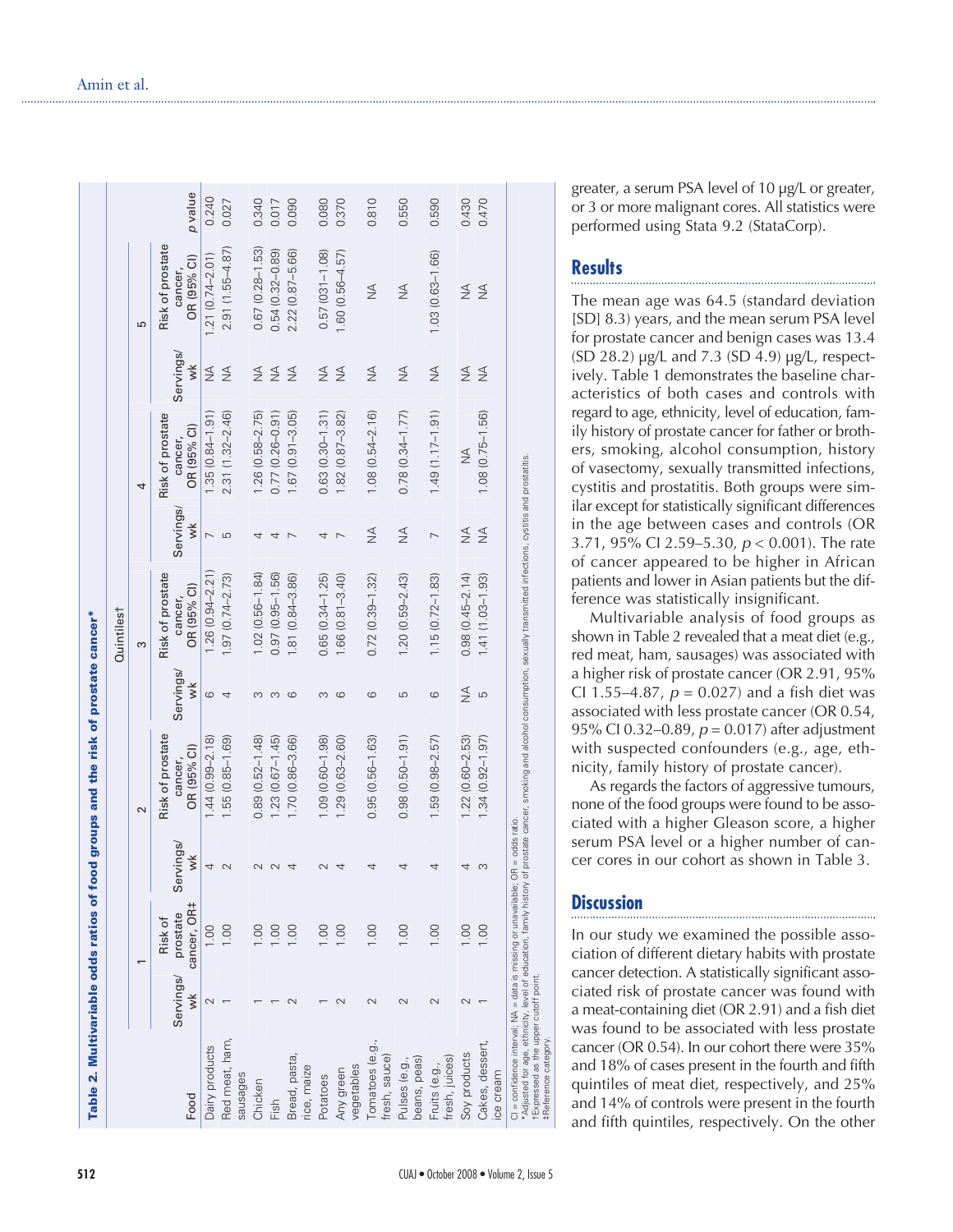|                                  |                 |                                                |                 | Table 2. Multivariable odds ratios of food groups and the risk of prostate cancer* |                 | Quintilest                                 |                                   |                                            |                                  |                                            |         |
|----------------------------------|-----------------|------------------------------------------------|-----------------|------------------------------------------------------------------------------------|-----------------|--------------------------------------------|-----------------------------------|--------------------------------------------|----------------------------------|--------------------------------------------|---------|
|                                  |                 |                                                |                 | $\sim$                                                                             |                 | 3                                          |                                   | 4                                          |                                  | 5                                          |         |
| Food                             | Servings/<br>wk | cancer, OR <sub>‡</sub><br>prostate<br>Risk of | Servings/<br>š  | Risk of prostate<br>OR (95% CI)<br>cancer,                                         | Servings/<br>wk | Risk of prostate<br>OR (95% CI)<br>cancer, | Servings/<br>$\breve{\mathbf{v}}$ | Risk of prostate<br>OR (95% CI)<br>cancer, | Servings/<br>š                   | Risk of prostate<br>OR (95% CI)<br>cancer, | p value |
| Dairy products                   |                 | 1,00                                           | 4               | $.44(0.99 - 2.18)$                                                                 | ဖ               | $.26(0.94 - 2.21)$                         |                                   | 1.35 (0.84-1.91)                           | $\frac{4}{2}$                    | $1.21(0.74 - 2.01)$                        | 0.240   |
| Red meat, ham,<br>sausages       |                 |                                                | $\mathbf{\sim}$ | .55 (0.85-1.69)                                                                    | 4               | $1.97(0.74 - 2.73)$                        | 5                                 | 2.31 (1.32-2.46)                           | $\frac{4}{2}$                    | $2.91(1.55 - 4.87)$                        | 0.027   |
| Chicken                          |                 |                                                |                 | $0.89(0.52 - 1.48)$                                                                |                 | $1.02(0.56 - 1.84)$                        |                                   | $1.26(0.58 - 2.75)$                        | $\frac{4}{2}$                    | $0.67(0.28 - 1.53)$                        | 0.340   |
| Fish                             |                 |                                                |                 | $1.23(0.67 - 1.45)$                                                                | ∞               | $0.97(0.95 - 1.56)$                        |                                   | $0.77(0.26 - 0.91)$                        | $\stackrel{\triangleleft}{\geq}$ | $0.54(0.32 - 0.89)$                        | 0.017   |
| Bread, pasta,<br>rice, maize     |                 | S                                              |                 | 1.70 (0.86-3.66)                                                                   | 6               | 1.81 (0.84-3.86)                           |                                   | $1.67(0.91 - 3.05)$                        | $\frac{4}{2}$                    | 2.22 (0.87-5.66)                           | 0.090   |
| Potatoes                         |                 |                                                |                 | $1.09(0.60 - 1.98)$                                                                | $\infty$        | $0.65(0.34 - 1.25)$                        |                                   | $0.63(0.30 - 1.31)$                        | $\frac{4}{2}$                    | $0.57(031 - 1.08)$                         | 0.080   |
| vegetables<br>Any green          |                 | $\frac{8}{10}$                                 |                 | $1.29(0.63 - 2.60)$                                                                | ဖ               | $1.66(0.81 - 3.40)$                        |                                   | $1.82(0.87 - 3.82)$                        | $\frac{4}{2}$                    | $1.60(0.56 - 4.57)$                        | 0.370   |
| Tomatoes (e.g.,<br>fresh, sauce) |                 | $\frac{100}{100}$                              | 4               | $0.95(0.56 - 1.63)$                                                                | ဖ               | $0.72(0.39 - 1.32)$                        | $\frac{1}{2}$                     | $1.08(0.54 - 2.16)$                        | $\frac{4}{2}$                    | $\frac{4}{2}$                              | 0.810   |
| beans, peas)<br>Pulses (e.g.,    |                 | $\frac{1}{2}$                                  |                 | $0.98(0.50 - 1.91)$                                                                | 5               | $1.20(0.59 - 2.43)$                        | $\frac{1}{2}$                     | $0.78(0.34 - 1.77)$                        | $\frac{4}{2}$                    | $\frac{4}{2}$                              | 0.550   |
| fresh, juices)<br>Fruits (e.g.,  |                 | $\frac{8}{10}$                                 |                 | $.59(0.98 - 2.57)$                                                                 | ဖ               | $1.15(0.72 - 1.83)$                        |                                   | $1.49(1.17-1.91)$                          | $\frac{1}{2}$                    | 1.03 (0.63-1.66)                           | 0.590   |
| Soy products                     |                 | $\overline{S}$                                 |                 | $1.22(0.60 - 2.53)$                                                                | $\frac{4}{2}$   | $0.98(0.45 - 2.14)$                        | $\frac{1}{2}$                     | $\frac{1}{2}$                              | $\frac{4}{2}$                    | $\frac{4}{2}$                              | 0.430   |
| Cakes, dessert,                  |                 | 00.1                                           |                 | $.34(0.92 - 1.97)$                                                                 | LO              | 1.41 (1.03-1.93)                           | $\frac{1}{2}$                     | $1.08(0.75 - 1.56)$                        | $\frac{4}{2}$                    | $\frac{1}{2}$                              | 0.470   |

\*Adjusted for age, ethnicity, level of education, family history of prostate cancer, smoking and alcohol consumption, sexually transmitted infections, cystitis and prostatitis. and prostatitis cystitis imitted ion, alcohol and smoking †Expressed as the upper cutoff point.

infections, consumpt ratio.<br>cancer, CI = confidence interval; NA = data is missing or unavailable; OR = odds ratio. ; OR = odds ray<br>of prostate c or unavailable; (<br>family history = data is missing or<br>level of education, fa interval; NA = data is n<br>ge, ethnicity, level of ed<br>the upper cutoff point. CI = confidence interval; N<br>\*Adjusted for age, ethnicity<br>†Expressed as the upper cu<br>#Reference category. ‡Reference category. greater, a serum PSA level of 10 µg/L or greater, or 3 or more malignant cores. All statistics were performed using Stata 9.2 (StataCorp).

## **Results**

The mean age was 64.5 (standard deviation [SD] 8.3) years, and the mean serum PSA level for prostate cancer and benign cases was 13.4 (SD 28.2) µg/L and 7.3 (SD 4.9) µg/L, respectively. Table 1 demonstrates the baseline characteristics of both cases and controls with regard to age, ethnicity, level of education, family history of prostate cancer for father or brothers, smoking, alcohol consumption, history of vasectomy, sexually transmitted infections, cystitis and prostatitis. Both groups were similar except for statistically significant differences in the age between cases and controls (OR 3.71, 95% CI 2.59–5.30,  $p < 0.001$ ). The rate of cancer appeared to be higher in African patients and lower in Asian patients but the difference was statistically insignificant.

Multivariable analysis of food groups as shown in Table 2 revealed that a meat diet (e.g., red meat, ham, sausages) was associated with a higher risk of prostate cancer (OR 2.91, 95% CI 1.55–4.87,  $p = 0.027$  and a fish diet was associated with less prostate cancer (OR 0.54, 95% CI 0.32–0.89,  $p = 0.017$ ) after adjustment with suspected confounders (e.g., age, ethnicity, family history of prostate cancer).

As regards the factors of aggressive tumours, none of the food groups were found to be associated with a higher Gleason score, a higher serum PSA level or a higher number of cancer cores in our cohort as shown in Table 3.

# **Discussion**

In our study we examined the possible association of different dietary habits with prostate cancer detection. A statistically significant associated risk of prostate cancer was found with a meat-containing diet (OR 2.91) and a fish diet was found to be associated with less prostate cancer (OR 0.54). In our cohort there were 35% and 18% of cases present in the fourth and fifth quintiles of meat diet, respectively, and 25% and 14% of controls were present in the fourth and fifth quintiles, respectively. On the other

ice cream

ice cream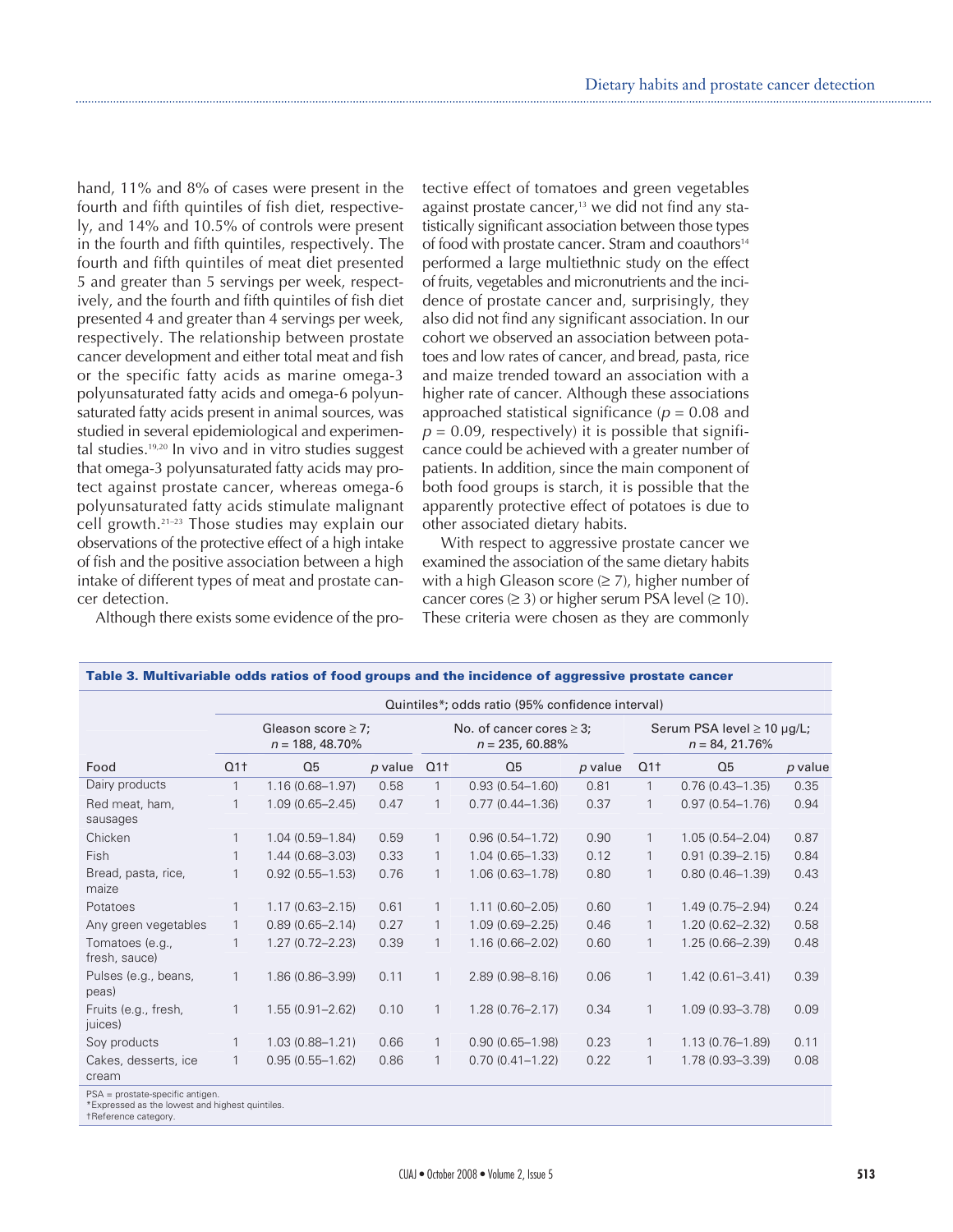hand, 11% and 8% of cases were present in the fourth and fifth quintiles of fish diet, respectively, and 14% and 10.5% of controls were present in the fourth and fifth quintiles, respectively. The fourth and fifth quintiles of meat diet presented 5 and greater than 5 servings per week, respectively, and the fourth and fifth quintiles of fish diet presented 4 and greater than 4 servings per week, respectively. The relationship between prostate cancer development and either total meat and fish or the specific fatty acids as marine omega-3 polyunsaturated fatty acids and omega-6 polyunsaturated fatty acids present in animal sources, was studied in several epidemiological and experimental studies.19,20 In vivo and in vitro studies suggest that omega-3 polyunsaturated fatty acids may protect against prostate cancer, whereas omega-6 polyunsaturated fatty acids stimulate malignant cell growth.21–23 Those studies may explain our observations of the protective effect of a high intake of fish and the positive association between a high intake of different types of meat and prostate cancer detection.

Although there exists some evidence of the pro-

tective effect of tomatoes and green vegetables against prostate cancer, $13$  we did not find any statistically significant association between those types of food with prostate cancer. Stram and coauthors<sup>14</sup> performed a large multiethnic study on the effect of fruits, vegetables and micronutrients and the incidence of prostate cancer and, surprisingly, they also did not find any significant association. In our cohort we observed an association between potatoes and low rates of cancer, and bread, pasta, rice and maize trended toward an association with a higher rate of cancer. Although these associations approached statistical significance ( $p = 0.08$  and  $p = 0.09$ , respectively) it is possible that significance could be achieved with a greater number of patients. In addition, since the main component of both food groups is starch, it is possible that the apparently protective effect of potatoes is due to other associated dietary habits.

With respect to aggressive prostate cancer we examined the association of the same dietary habits with a high Gleason score  $(\geq 7)$ , higher number of cancer cores  $(≥ 3)$  or higher serum PSA level  $(≥ 10)$ . These criteria were chosen as they are commonly

|                                  | Quintiles*; odds ratio (95% confidence interval) |                     |         |                                                     |                     |         |                                                      |                     |           |
|----------------------------------|--------------------------------------------------|---------------------|---------|-----------------------------------------------------|---------------------|---------|------------------------------------------------------|---------------------|-----------|
|                                  | Gleason score $\geq$ 7;<br>$n = 188, 48.70\%$    |                     |         | No. of cancer cores $\geq$ 3;<br>$n = 235, 60.88\%$ |                     |         | Serum PSA level $\geq$ 10 µg/L;<br>$n = 84, 21.76\%$ |                     |           |
| Food                             | Q1 <sub>†</sub>                                  | Q <sub>5</sub>      | p value | Q1 <sub>†</sub>                                     | Q <sub>5</sub>      | p value | Q1 <sub>†</sub>                                      | Q <sub>5</sub>      | $p$ value |
| Dairy products                   | $\mathbf{1}$                                     | $1.16(0.68 - 1.97)$ | 0.58    |                                                     | $0.93(0.54 - 1.60)$ | 0.81    | $\mathbf{1}$                                         | $0.76(0.43 - 1.35)$ | 0.35      |
| Red meat, ham,<br>sausages       | 1                                                | $1.09(0.65 - 2.45)$ | 0.47    |                                                     | $0.77(0.44 - 1.36)$ | 0.37    |                                                      | $0.97(0.54 - 1.76)$ | 0.94      |
| Chicken                          | 1                                                | $1.04(0.59 - 1.84)$ | 0.59    |                                                     | $0.96(0.54 - 1.72)$ | 0.90    |                                                      | $1.05(0.54 - 2.04)$ | 0.87      |
| Fish                             | $\mathbf{1}$                                     | $1.44(0.68 - 3.03)$ | 0.33    | 1                                                   | $1.04(0.65 - 1.33)$ | 0.12    | 1                                                    | $0.91(0.39 - 2.15)$ | 0.84      |
| Bread, pasta, rice,<br>maize     | $\mathbf{1}$                                     | $0.92(0.55 - 1.53)$ | 0.76    | 1                                                   | $1.06(0.63 - 1.78)$ | 0.80    | $\mathbf{1}$                                         | $0.80(0.46 - 1.39)$ | 0.43      |
| Potatoes                         | $\mathbf{1}$                                     | $1.17(0.63 - 2.15)$ | 0.61    |                                                     | $1.11(0.60 - 2.05)$ | 0.60    |                                                      | $1.49(0.75 - 2.94)$ | 0.24      |
| Any green vegetables             | $\mathbf{1}$                                     | $0.89(0.65 - 2.14)$ | 0.27    |                                                     | $1.09(0.69 - 2.25)$ | 0.46    |                                                      | $1.20(0.62 - 2.32)$ | 0.58      |
| Tomatoes (e.g.,<br>fresh, sauce) | 1                                                | $1.27(0.72 - 2.23)$ | 0.39    |                                                     | $1.16(0.66 - 2.02)$ | 0.60    | 1                                                    | $1.25(0.66 - 2.39)$ | 0.48      |
| Pulses (e.g., beans,<br>peas)    | 1                                                | 1.86 (0.86-3.99)    | 0.11    |                                                     | $2.89(0.98 - 8.16)$ | 0.06    | $\mathbf{1}$                                         | $1.42(0.61 - 3.41)$ | 0.39      |
| Fruits (e.g., fresh,<br>juices)  | $\mathbf{1}$                                     | $1.55(0.91 - 2.62)$ | 0.10    |                                                     | $1.28(0.76 - 2.17)$ | 0.34    | $\mathbf{1}$                                         | $1.09(0.93 - 3.78)$ | 0.09      |
| Soy products                     | $\mathbf{1}$                                     | $1.03(0.88 - 1.21)$ | 0.66    |                                                     | $0.90(0.65 - 1.98)$ | 0.23    |                                                      | $1.13(0.76 - 1.89)$ | 0.11      |
| Cakes, desserts, ice<br>cream    | $\mathbf{1}$                                     | $0.95(0.55 - 1.62)$ | 0.86    | $\mathbf{1}$                                        | $0.70(0.41 - 1.22)$ | 0.22    | $\mathbf{1}$                                         | 1.78 (0.93-3.39)    | 0.08      |
| PSA = prostate-specific antigen. |                                                  |                     |         |                                                     |                     |         |                                                      |                     |           |

**Table 3. Multivariable odds ratios of food groups and the incidence of aggressive prostate cancer** 

PSA = prostate-specific antigen. \*Expressed as the lowest and highest quintiles.

†Reference category.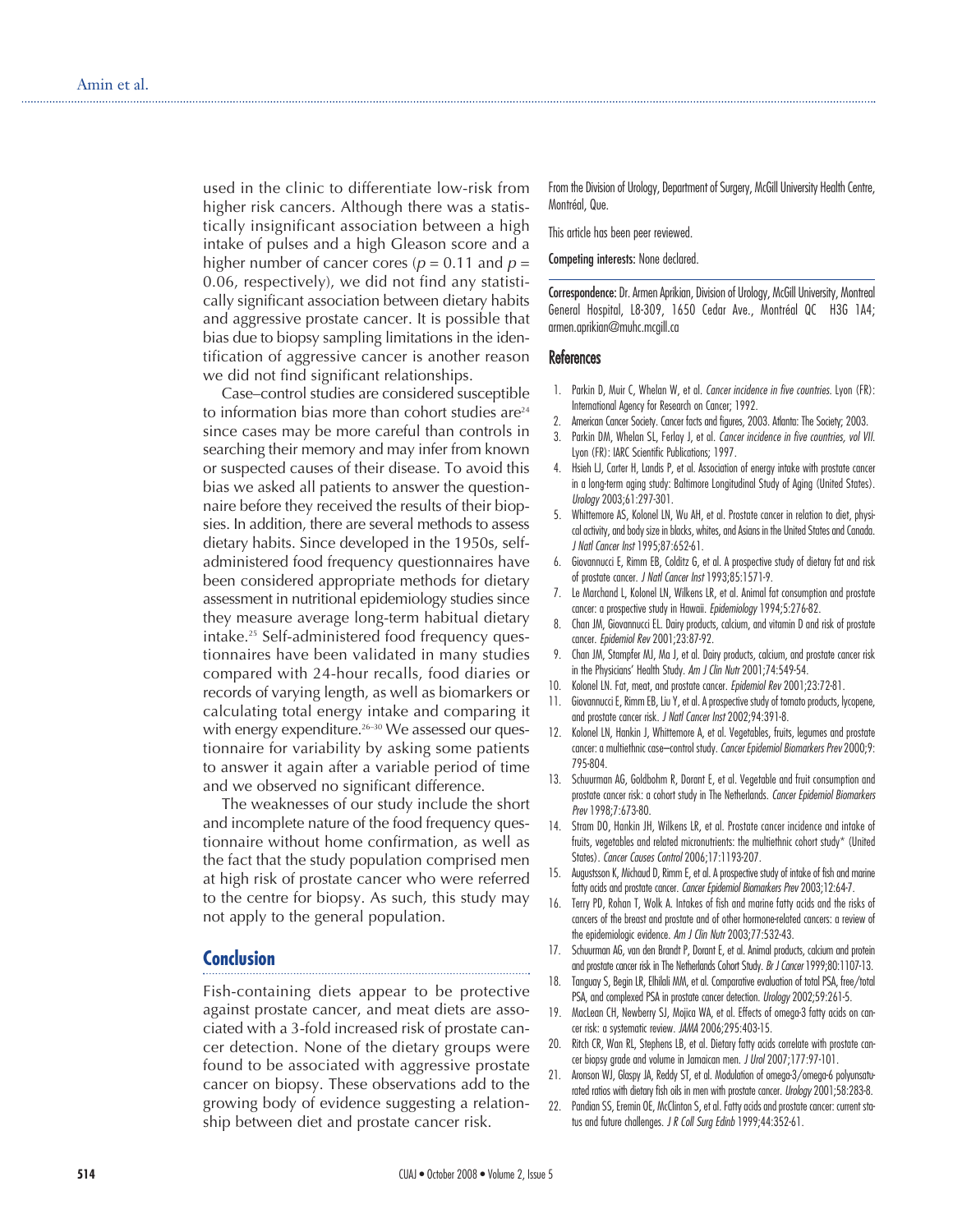used in the clinic to differentiate low-risk from higher risk cancers. Although there was a statistically insignificant association between a high intake of pulses and a high Gleason score and a higher number of cancer cores ( $p = 0.11$  and  $p =$ 0.06, respectively), we did not find any statistically significant association between dietary habits and aggressive prostate cancer. It is possible that bias due to biopsy sampling limitations in the identification of aggressive cancer is another reason we did not find significant relationships.

Case–control studies are considered susceptible to information bias more than cohort studies are $24$ since cases may be more careful than controls in searching their memory and may infer from known or suspected causes of their disease. To avoid this bias we asked all patients to answer the questionnaire before they received the results of their biopsies. In addition, there are several methods to assess dietary habits. Since developed in the 1950s, selfadministered food frequency questionnaires have been considered appropriate methods for dietary assessment in nutritional epidemiology studies since they measure average long-term habitual dietary intake.25 Self-administered food frequency questionnaires have been validated in many studies compared with 24-hour recalls, food diaries or records of varying length, as well as biomarkers or calculating total energy intake and comparing it with energy expenditure.<sup>26–30</sup> We assessed our questionnaire for variability by asking some patients to answer it again after a variable period of time and we observed no significant difference.

The weaknesses of our study include the short and incomplete nature of the food frequency questionnaire without home confirmation, as well as the fact that the study population comprised men at high risk of prostate cancer who were referred to the centre for biopsy. As such, this study may not apply to the general population.

### **Conclusion**

Fish-containing diets appear to be protective against prostate cancer, and meat diets are associated with a 3-fold increased risk of prostate cancer detection. None of the dietary groups were found to be associated with aggressive prostate cancer on biopsy. These observations add to the growing body of evidence suggesting a relationship between diet and prostate cancer risk.

From the Division of Urology, Department of Surgery, McGill University Health Centre, Montréal, Que.

This article has been peer reviewed.

Competing interests: None declared.

Correspondence: Dr. Armen Aprikian, Division of Urology, McGill University, Montreal General Hospital, L8-309, 1650 Cedar Ave., Montréal QC H3G 1A4; armen.aprikian@muhc.mcgill.ca

#### **References**

- 1. Parkin D, Muir C, Whelan W, et al. Cancer incidence in five countries. Lyon (FR): International Agency for Research on Cancer; 1992.
- 2. American Cancer Society. Cancer facts and figures, 2003. Atlanta: The Society; 2003.
- 3. Parkin DM, Whelan SL, Ferlay J, et al. Cancer incidence in five countries, vol VII. Lyon (FR): IARC Scientific Publications; 1997.
- 4. Hsieh LJ, Carter H, Landis P, et al. Association of energy intake with prostate cancer in a long-term aging study: Baltimore Longitudinal Study of Aging (United States). Urology 2003;61:297-301.
- 5. Whittemore AS, Kolonel LN, Wu AH, et al. Prostate cancer in relation to diet, physical activity, and body size in blacks, whites, and Asians in the United States and Canada. J Natl Cancer Inst 1995;87:652-61.
- 6. Giovannucci E, Rimm EB, Colditz G, et al. A prospective study of dietary fat and risk of prostate cancer. J Natl Cancer Inst 1993;85:1571-9.
- 7. Le Marchand L, Kolonel LN, Wilkens LR, et al. Animal fat consumption and prostate cancer: a prospective study in Hawaii. Epidemiology 1994;5:276-82.
- 8. Chan JM, Giovannucci EL. Dairy products, calcium, and vitamin D and risk of prostate cancer. Epidemiol Rev 2001;23:87-92.
- 9. Chan JM, Stampfer MJ, Ma J, et al. Dairy products, calcium, and prostate cancer risk in the Physicians' Health Study. Am J Clin Nutr 2001;74:549-54.
- 10. Kolonel LN. Fat, meat, and prostate cancer. Epidemiol Rev 2001;23:72-81.
- 11. Giovannucci E, Rimm EB, Liu Y, et al. A prospective study of tomato products, lycopene, and prostate cancer risk. J Natl Cancer Inst 2002;94:391-8.
- 12. Kolonel LN, Hankin J, Whittemore A, et al. Vegetables, fruits, legumes and prostate cancer: a multiethnic case–control study. Cancer Epidemiol Biomarkers Prev 2000;9: 795-804.
- 13. Schuurman AG, Goldbohm R, Dorant E, et al. Vegetable and fruit consumption and prostate cancer risk: a cohort study in The Netherlands. Cancer Epidemiol Biomarkers Prev 1998;7:673-80.
- 14. Stram DO, Hankin JH, Wilkens LR, et al. Prostate cancer incidence and intake of fruits, vegetables and related micronutrients: the multiethnic cohort study\* (United States). Cancer Causes Control 2006;17:1193-207.
- 15. Augustsson K, Michaud D, Rimm E, et al. A prospective study of intake of fish and marine fatty acids and prostate cancer. Cancer Epidemiol Biomarkers Prev 2003;12:64-7.
- 16. Terry PD, Rohan T, Wolk A. Intakes of fish and marine fatty acids and the risks of cancers of the breast and prostate and of other hormone-related cancers: a review of the epidemiologic evidence. Am J Clin Nutr 2003;77:532-43.
- 17. Schuurman AG, van den Brandt P, Dorant E, et al. Animal products, calcium and protein and prostate cancer risk in The Netherlands Cohort Study. Br J Cancer 1999;80:1107-13.
- Tanguay S, Begin LR, Elhilali MM, et al. Comparative evaluation of total PSA, free/total PSA, and complexed PSA in prostate cancer detection. Urology 2002;59:261-5.
- 19. MacLean CH, Newberry SJ, Mojica WA, et al. Effects of omega-3 fatty acids on cancer risk: a systematic review. JAMA 2006;295:403-15.
- 20. Ritch CR, Wan RL, Stephens LB, et al. Dietary fatty acids correlate with prostate cancer biopsy grade and volume in Jamaican men. J Urol 2007;177:97-101.
- 21. Aronson WJ, Glaspy JA, Reddy ST, et al. Modulation of omega-3/omega-6 polyunsaturated ratios with dietary fish oils in men with prostate cancer. Urology 2001;58:283-8.
- 22. Pandian SS, Eremin OE, McClinton S, et al. Fatty acids and prostate cancer: current status and future challenges. J R Coll Surg Edinb 1999;44:352-61.